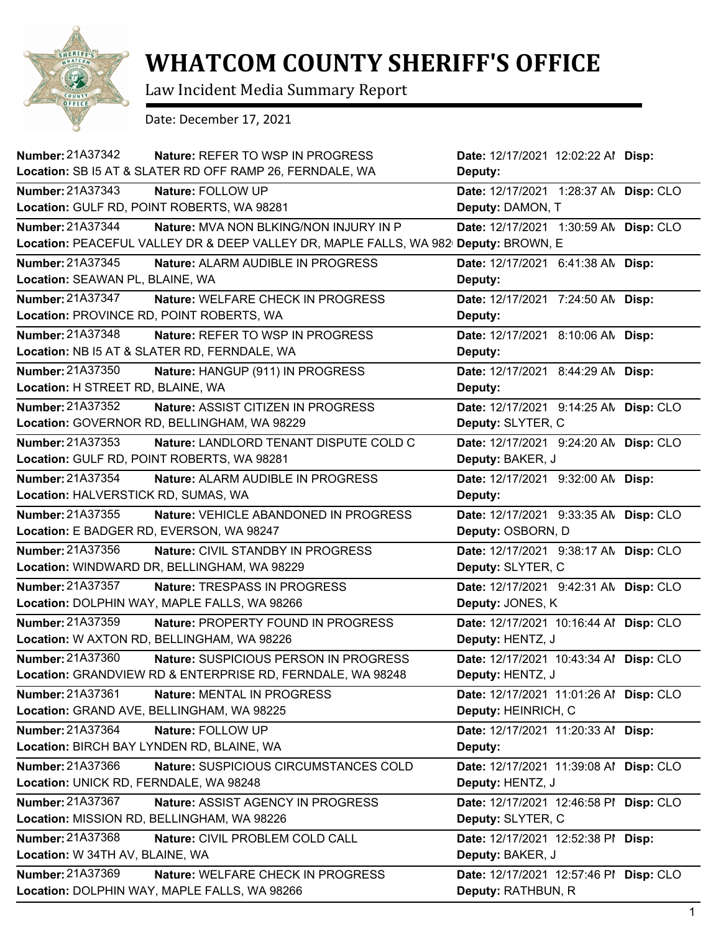

## **WHATCOM COUNTY SHERIFF'S OFFICE**

Law Incident Media Summary Report

Date: December 17, 2021

| Number: 21A37342<br>Nature: REFER TO WSP IN PROGRESS                                | Date: 12/17/2021 12:02:22 Al Disp:     |
|-------------------------------------------------------------------------------------|----------------------------------------|
| Location: SB I5 AT & SLATER RD OFF RAMP 26, FERNDALE, WA                            | Deputy:                                |
| <b>Number: 21A37343</b><br>Nature: FOLLOW UP                                        | Date: 12/17/2021 1:28:37 AN Disp: CLO  |
| Location: GULF RD, POINT ROBERTS, WA 98281                                          | Deputy: DAMON, T                       |
| Number: 21A37344<br>Nature: MVA NON BLKING/NON INJURY IN P                          | Date: 12/17/2021 1:30:59 AN Disp: CLO  |
| Location: PEACEFUL VALLEY DR & DEEP VALLEY DR, MAPLE FALLS, WA 982 Deputy: BROWN, E |                                        |
| <b>Number: 21A37345</b><br><b>Nature: ALARM AUDIBLE IN PROGRESS</b>                 | Date: 12/17/2021 6:41:38 AN Disp:      |
| Location: SEAWAN PL, BLAINE, WA                                                     | Deputy:                                |
| <b>Number: 21A37347</b><br>Nature: WELFARE CHECK IN PROGRESS                        | Date: 12/17/2021 7:24:50 AN Disp:      |
| Location: PROVINCE RD, POINT ROBERTS, WA                                            | Deputy:                                |
| <b>Number: 21A37348</b><br>Nature: REFER TO WSP IN PROGRESS                         | Date: 12/17/2021 8:10:06 AN Disp:      |
| Location: NB I5 AT & SLATER RD, FERNDALE, WA                                        | Deputy:                                |
| <b>Number: 21A37350</b><br>Nature: HANGUP (911) IN PROGRESS                         | Date: 12/17/2021 8:44:29 AN Disp:      |
| Location: H STREET RD, BLAINE, WA                                                   | Deputy:                                |
| Number: 21A37352<br>Nature: ASSIST CITIZEN IN PROGRESS                              | Date: 12/17/2021 9:14:25 AN Disp: CLO  |
| Location: GOVERNOR RD, BELLINGHAM, WA 98229                                         | Deputy: SLYTER, C                      |
| Number: 21A37353<br>Nature: LANDLORD TENANT DISPUTE COLD C                          | Date: 12/17/2021 9:24:20 AN Disp: CLO  |
| Location: GULF RD, POINT ROBERTS, WA 98281                                          | Deputy: BAKER, J                       |
| Number: 21A37354<br>Nature: ALARM AUDIBLE IN PROGRESS                               | Date: 12/17/2021 9:32:00 AN Disp:      |
| Location: HALVERSTICK RD, SUMAS, WA                                                 | Deputy:                                |
| Number: 21A37355<br><b>Nature: VEHICLE ABANDONED IN PROGRESS</b>                    | Date: 12/17/2021 9:33:35 AN Disp: CLO  |
| Location: E BADGER RD, EVERSON, WA 98247                                            | Deputy: OSBORN, D                      |
| Number: 21A37356<br>Nature: CIVIL STANDBY IN PROGRESS                               | Date: 12/17/2021 9:38:17 AN Disp: CLO  |
| Location: WINDWARD DR, BELLINGHAM, WA 98229                                         | Deputy: SLYTER, C                      |
| <b>Number: 21A37357</b><br>Nature: TRESPASS IN PROGRESS                             | Date: 12/17/2021 9:42:31 AN Disp: CLO  |
| Location: DOLPHIN WAY, MAPLE FALLS, WA 98266                                        | Deputy: JONES, K                       |
| Number: 21A37359<br>Nature: PROPERTY FOUND IN PROGRESS                              | Date: 12/17/2021 10:16:44 Al Disp: CLO |
| Location: W AXTON RD, BELLINGHAM, WA 98226                                          | Deputy: HENTZ, J                       |
| Number: 21A37360<br>Nature: SUSPICIOUS PERSON IN PROGRESS                           | Date: 12/17/2021 10:43:34 Al Disp: CLO |
| Location: GRANDVIEW RD & ENTERPRISE RD, FERNDALE, WA 98248                          | Deputy: HENTZ, J                       |
| <b>Number: 21A37361</b><br>Nature: MENTAL IN PROGRESS                               | Date: 12/17/2021 11:01:26 Al Disp: CLO |
| Location: GRAND AVE, BELLINGHAM, WA 98225                                           | Deputy: HEINRICH, C                    |
| Number: 21A37364<br>Nature: FOLLOW UP                                               | Date: 12/17/2021 11:20:33 Al Disp:     |
| Location: BIRCH BAY LYNDEN RD, BLAINE, WA                                           | Deputy:                                |
| Number: 21A37366<br>Nature: SUSPICIOUS CIRCUMSTANCES COLD                           | Date: 12/17/2021 11:39:08 Al Disp: CLO |
| Location: UNICK RD, FERNDALE, WA 98248                                              | Deputy: HENTZ, J                       |
| Number: 21A37367<br>Nature: ASSIST AGENCY IN PROGRESS                               | Date: 12/17/2021 12:46:58 PI Disp: CLO |
| Location: MISSION RD, BELLINGHAM, WA 98226                                          | Deputy: SLYTER, C                      |
| Number: 21A37368<br>Nature: CIVIL PROBLEM COLD CALL                                 | Date: 12/17/2021 12:52:38 PI Disp:     |
| Location: W 34TH AV, BLAINE, WA                                                     | Deputy: BAKER, J                       |
| Number: 21A37369<br>Nature: WELFARE CHECK IN PROGRESS                               | Date: 12/17/2021 12:57:46 PI Disp: CLO |
| Location: DOLPHIN WAY, MAPLE FALLS, WA 98266                                        | Deputy: RATHBUN, R                     |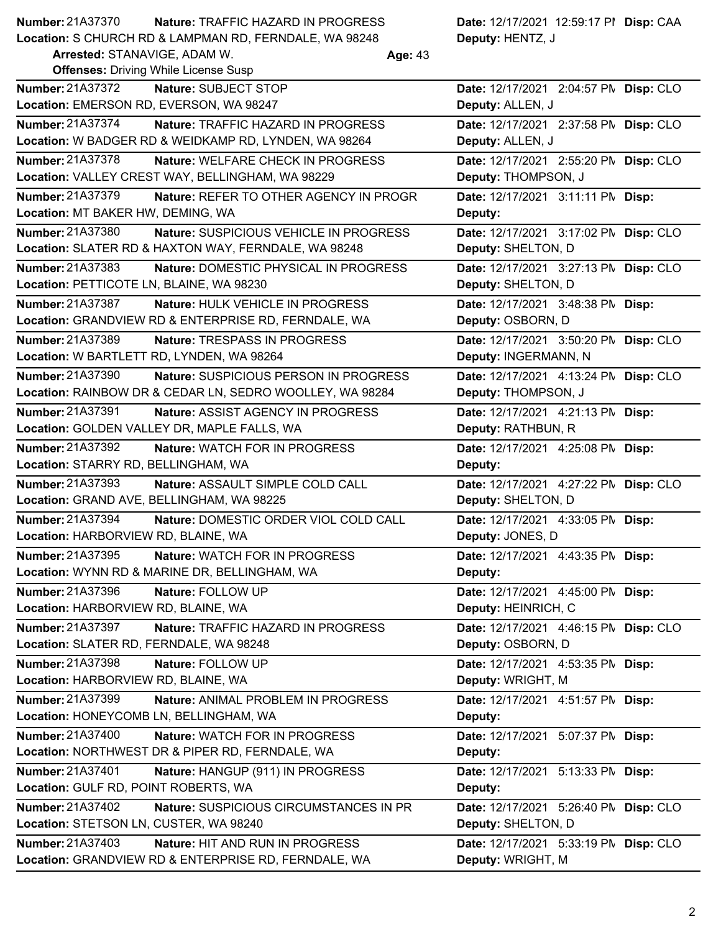| <b>Number: 21A37370</b> | <b>Nature: TRAFFIC HAZARD IN PROGRESS</b>              | Date: 12/17/2021 12:59:17 PI Disp: CAA |
|-------------------------|--------------------------------------------------------|----------------------------------------|
|                         | Location: S CHURCH RD & LAMPMAN RD, FERNDALE, WA 98248 | <b>Deputy: HENTZ, J</b>                |

| Arrested: STANAVIGE, ADAM \ |  |  |  |  |  |
|-----------------------------|--|--|--|--|--|
|                             |  |  |  |  |  |

**Age:** 43

| <b>Offenses: Driving While License Susp</b>                  |                                       |  |  |  |  |
|--------------------------------------------------------------|---------------------------------------|--|--|--|--|
| <b>Number: 21A37372</b><br>Nature: SUBJECT STOP              | Date: 12/17/2021 2:04:57 PN Disp: CLO |  |  |  |  |
| Location: EMERSON RD, EVERSON, WA 98247                      | Deputy: ALLEN, J                      |  |  |  |  |
| Number: 21A37374<br>Nature: TRAFFIC HAZARD IN PROGRESS       | Date: 12/17/2021 2:37:58 PN Disp: CLO |  |  |  |  |
| Location: W BADGER RD & WEIDKAMP RD, LYNDEN, WA 98264        | Deputy: ALLEN, J                      |  |  |  |  |
| Number: 21A37378<br>Nature: WELFARE CHECK IN PROGRESS        | Date: 12/17/2021 2:55:20 PN Disp: CLO |  |  |  |  |
| Location: VALLEY CREST WAY, BELLINGHAM, WA 98229             | Deputy: THOMPSON, J                   |  |  |  |  |
| Number: 21A37379<br>Nature: REFER TO OTHER AGENCY IN PROGR   | Date: 12/17/2021 3:11:11 PM Disp:     |  |  |  |  |
| Location: MT BAKER HW, DEMING, WA                            | Deputy:                               |  |  |  |  |
| Number: 21A37380<br>Nature: SUSPICIOUS VEHICLE IN PROGRESS   | Date: 12/17/2021 3:17:02 PN Disp: CLO |  |  |  |  |
| Location: SLATER RD & HAXTON WAY, FERNDALE, WA 98248         | Deputy: SHELTON, D                    |  |  |  |  |
| Number: 21A37383<br>Nature: DOMESTIC PHYSICAL IN PROGRESS    | Date: 12/17/2021 3:27:13 PN Disp: CLO |  |  |  |  |
| Location: PETTICOTE LN, BLAINE, WA 98230                     | Deputy: SHELTON, D                    |  |  |  |  |
| <b>Number: 21A37387</b><br>Nature: HULK VEHICLE IN PROGRESS  | Date: 12/17/2021 3:48:38 PM Disp:     |  |  |  |  |
| Location: GRANDVIEW RD & ENTERPRISE RD, FERNDALE, WA         | Deputy: OSBORN, D                     |  |  |  |  |
| Number: 21A37389<br>Nature: TRESPASS IN PROGRESS             | Date: 12/17/2021 3:50:20 PN Disp: CLO |  |  |  |  |
| Location: W BARTLETT RD, LYNDEN, WA 98264                    | Deputy: INGERMANN, N                  |  |  |  |  |
| Number: 21A37390<br>Nature: SUSPICIOUS PERSON IN PROGRESS    | Date: 12/17/2021 4:13:24 PM Disp: CLO |  |  |  |  |
| Location: RAINBOW DR & CEDAR LN, SEDRO WOOLLEY, WA 98284     | Deputy: THOMPSON, J                   |  |  |  |  |
| <b>Number: 21A37391</b><br>Nature: ASSIST AGENCY IN PROGRESS | Date: 12/17/2021 4:21:13 PM Disp:     |  |  |  |  |
| Location: GOLDEN VALLEY DR, MAPLE FALLS, WA                  | Deputy: RATHBUN, R                    |  |  |  |  |
| <b>Number: 21A37392</b><br>Nature: WATCH FOR IN PROGRESS     | Date: 12/17/2021  4:25:08 PM  Disp:   |  |  |  |  |
| Location: STARRY RD, BELLINGHAM, WA                          | Deputy:                               |  |  |  |  |
| <b>Number: 21A37393</b><br>Nature: ASSAULT SIMPLE COLD CALL  | Date: 12/17/2021 4:27:22 PN Disp: CLO |  |  |  |  |
| Location: GRAND AVE, BELLINGHAM, WA 98225                    | Deputy: SHELTON, D                    |  |  |  |  |
| Number: 21A37394<br>Nature: DOMESTIC ORDER VIOL COLD CALL    | Date: 12/17/2021 4:33:05 PM Disp:     |  |  |  |  |
| Location: HARBORVIEW RD, BLAINE, WA                          | Deputy: JONES, D                      |  |  |  |  |
| Number: 21A37395<br>Nature: WATCH FOR IN PROGRESS            | Date: 12/17/2021 4:43:35 PM Disp:     |  |  |  |  |
| Location: WYNN RD & MARINE DR, BELLINGHAM, WA                | Deputy:                               |  |  |  |  |
| <b>Number: 21A37396</b><br>Nature: FOLLOW UP                 | Date: 12/17/2021 4:45:00 PM Disp:     |  |  |  |  |
| Location: HARBORVIEW RD, BLAINE, WA                          | Deputy: HEINRICH, C                   |  |  |  |  |
| Number: 21A37397<br>Nature: TRAFFIC HAZARD IN PROGRESS       | Date: 12/17/2021 4:46:15 PM Disp: CLO |  |  |  |  |
| Location: SLATER RD, FERNDALE, WA 98248                      | Deputy: OSBORN, D                     |  |  |  |  |
| Number: 21A37398<br>Nature: FOLLOW UP                        | Date: 12/17/2021 4:53:35 PM Disp:     |  |  |  |  |
| Location: HARBORVIEW RD, BLAINE, WA                          | Deputy: WRIGHT, M                     |  |  |  |  |
| Number: 21A37399<br>Nature: ANIMAL PROBLEM IN PROGRESS       | Date: 12/17/2021 4:51:57 PM Disp:     |  |  |  |  |
| Location: HONEYCOMB LN, BELLINGHAM, WA                       | Deputy:                               |  |  |  |  |
| <b>Number: 21A37400</b><br>Nature: WATCH FOR IN PROGRESS     | Date: 12/17/2021 5:07:37 PM Disp:     |  |  |  |  |
| Location: NORTHWEST DR & PIPER RD, FERNDALE, WA              | Deputy:                               |  |  |  |  |
| Number: 21A37401<br>Nature: HANGUP (911) IN PROGRESS         | Date: 12/17/2021 5:13:33 PM Disp:     |  |  |  |  |
| Location: GULF RD, POINT ROBERTS, WA                         | Deputy:                               |  |  |  |  |
| Number: 21A37402<br>Nature: SUSPICIOUS CIRCUMSTANCES IN PR   | Date: 12/17/2021 5:26:40 PM Disp: CLO |  |  |  |  |
| Location: STETSON LN, CUSTER, WA 98240                       | Deputy: SHELTON, D                    |  |  |  |  |
| Number: 21A37403<br>Nature: HIT AND RUN IN PROGRESS          | Date: 12/17/2021 5:33:19 PN Disp: CLO |  |  |  |  |
| Location: GRANDVIEW RD & ENTERPRISE RD, FERNDALE, WA         | Deputy: WRIGHT, M                     |  |  |  |  |